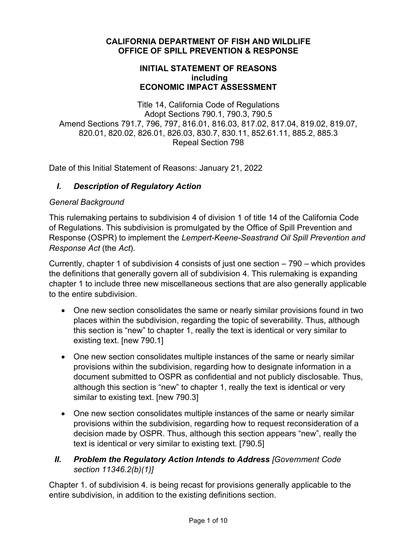#### **CALIFORNIA DEPARTMENT OF FISH AND WILDLIFE OFFICE OF SPILL PREVENTION & RESPONSE**

#### **INITIAL STATEMENT OF REASONS including ECONOMIC IMPACT ASSESSMENT**

Title 14, California Code of Regulations Adopt Sections 790.1, 790.3, 790.5 Amend Sections 791.7, 796, 797, 816.01, 816.03, 817.02, 817.04, 819.02, 819.07, 820.01, 820.02, 826.01, 826.03, 830.7, 830.11, 852.61.11, 885.2, 885.3 Repeal Section 798

Date of this Initial Statement of Reasons: January 21, 2022

# *I. Description of Regulatory Action*

#### *General Background*

This rulemaking pertains to subdivision 4 of division 1 of title 14 of the California Code of Regulations. This subdivision is promulgated by the Office of Spill Prevention and Response (OSPR) to implement the *Lempert-Keene-Seastrand Oil Spill Prevention and Response Act* (the *Act*).

Currently, chapter 1 of subdivision 4 consists of just one section – 790 – which provides the definitions that generally govern all of subdivision 4. This rulemaking is expanding chapter 1 to include three new miscellaneous sections that are also generally applicable to the entire subdivision.

- One new section consolidates the same or nearly similar provisions found in two places within the subdivision, regarding the topic of severability. Thus, although this section is "new" to chapter 1, really the text is identical or very similar to existing text. [new 790.1]
- One new section consolidates multiple instances of the same or nearly similar provisions within the subdivision, regarding how to designate information in a document submitted to OSPR as confidential and not publicly disclosable. Thus, although this section is "new" to chapter 1, really the text is identical or very similar to existing text. [new 790.3]
- One new section consolidates multiple instances of the same or nearly similar provisions within the subdivision, regarding how to request reconsideration of a decision made by OSPR. Thus, although this section appears "new", really the text is identical or very similar to existing text. [790.5]

# *II. Problem the Regulatory Action Intends to Address [Government Code section 11346.2(b)(1)]*

Chapter 1. of subdivision 4. is being recast for provisions generally applicable to the entire subdivision, in addition to the existing definitions section.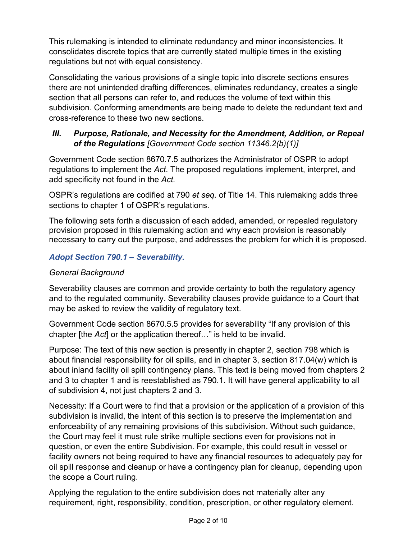This rulemaking is intended to eliminate redundancy and minor inconsistencies. It consolidates discrete topics that are currently stated multiple times in the existing regulations but not with equal consistency.

Consolidating the various provisions of a single topic into discrete sections ensures there are not unintended drafting differences, eliminates redundancy, creates a single section that all persons can refer to, and reduces the volume of text within this subdivision. Conforming amendments are being made to delete the redundant text and cross-reference to these two new sections.

## *III. Purpose, Rationale, and Necessity for the Amendment, Addition, or Repeal of the Regulations [Government Code section 11346.2(b)(1)]*

Government Code section 8670.7.5 authorizes the Administrator of OSPR to adopt regulations to implement the *Act*. The proposed regulations implement, interpret, and add specificity not found in the *Act.*

OSPR's regulations are codified at 790 *et seq.* of Title 14. This rulemaking adds three sections to chapter 1 of OSPR's regulations.

The following sets forth a discussion of each added, amended, or repealed regulatory provision proposed in this rulemaking action and why each provision is reasonably necessary to carry out the purpose, and addresses the problem for which it is proposed.

# *Adopt Section 790.1 – Severability.*

## *General Background*

Severability clauses are common and provide certainty to both the regulatory agency and to the regulated community. Severability clauses provide guidance to a Court that may be asked to review the validity of regulatory text.

Government Code section 8670.5.5 provides for severability "If any provision of this chapter [the *Act*] or the application thereof…" is held to be invalid.

Purpose: The text of this new section is presently in chapter 2, section 798 which is about financial responsibility for oil spills, and in chapter 3, section 817.04(w) which is about inland facility oil spill contingency plans. This text is being moved from chapters 2 and 3 to chapter 1 and is reestablished as 790.1. It will have general applicability to all of subdivision 4, not just chapters 2 and 3.

Necessity: If a Court were to find that a provision or the application of a provision of this subdivision is invalid, the intent of this section is to preserve the implementation and enforceability of any remaining provisions of this subdivision. Without such guidance, the Court may feel it must rule strike multiple sections even for provisions not in question, or even the entire Subdivision. For example, this could result in vessel or facility owners not being required to have any financial resources to adequately pay for oil spill response and cleanup or have a contingency plan for cleanup, depending upon the scope a Court ruling.

Applying the regulation to the entire subdivision does not materially alter any requirement, right, responsibility, condition, prescription, or other regulatory element.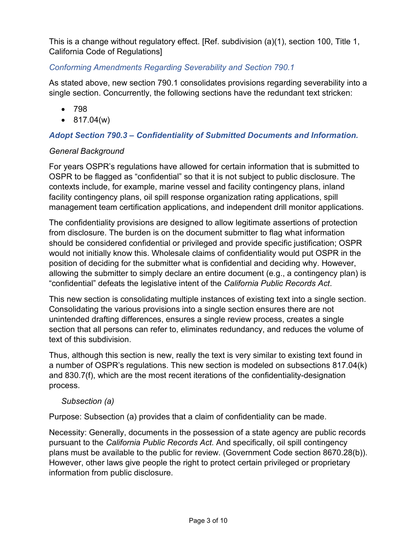This is a change without regulatory effect. [Ref. subdivision (a)(1), section 100, Title 1, California Code of Regulations]

#### *Conforming Amendments Regarding Severability and Section 790.1*

As stated above, new section 790.1 consolidates provisions regarding severability into a single section. Concurrently, the following sections have the redundant text stricken:

- 798
- $817.04(w)$

## *Adopt Section 790.3 – Confidentiality of Submitted Documents and Information.*

## *General Background*

For years OSPR's regulations have allowed for certain information that is submitted to OSPR to be flagged as "confidential" so that it is not subject to public disclosure. The contexts include, for example, marine vessel and facility contingency plans, inland facility contingency plans, oil spill response organization rating applications, spill management team certification applications, and independent drill monitor applications.

The confidentiality provisions are designed to allow legitimate assertions of protection from disclosure. The burden is on the document submitter to flag what information should be considered confidential or privileged and provide specific justification; OSPR would not initially know this. Wholesale claims of confidentiality would put OSPR in the position of deciding for the submitter what is confidential and deciding why. However, allowing the submitter to simply declare an entire document (e.g., a contingency plan) is "confidential" defeats the legislative intent of the *California Public Records Act*.

This new section is consolidating multiple instances of existing text into a single section. Consolidating the various provisions into a single section ensures there are not unintended drafting differences, ensures a single review process, creates a single section that all persons can refer to, eliminates redundancy, and reduces the volume of text of this subdivision.

Thus, although this section is new, really the text is very similar to existing text found in a number of OSPR's regulations. This new section is modeled on subsections 817.04(k) and 830.7(f), which are the most recent iterations of the confidentiality-designation process.

#### *Subsection (a)*

Purpose: Subsection (a) provides that a claim of confidentiality can be made.

Necessity: Generally, documents in the possession of a state agency are public records pursuant to the *California Public Records Act*. And specifically, oil spill contingency plans must be available to the public for review. (Government Code section 8670.28(b)). However, other laws give people the right to protect certain privileged or proprietary information from public disclosure.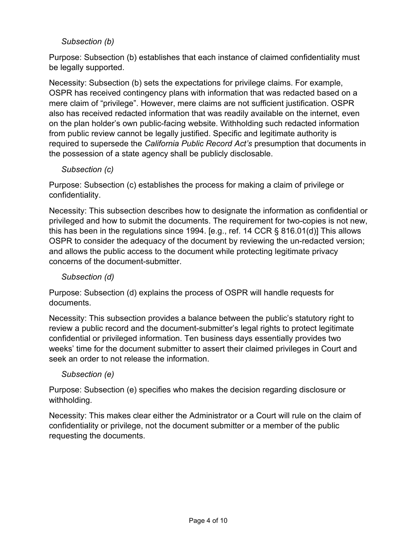# *Subsection (b)*

Purpose: Subsection (b) establishes that each instance of claimed confidentiality must be legally supported.

Necessity: Subsection (b) sets the expectations for privilege claims. For example, OSPR has received contingency plans with information that was redacted based on a mere claim of "privilege". However, mere claims are not sufficient justification. OSPR also has received redacted information that was readily available on the internet, even on the plan holder's own public-facing website. Withholding such redacted information from public review cannot be legally justified. Specific and legitimate authority is required to supersede the *California Public Record Act's* presumption that documents in the possession of a state agency shall be publicly disclosable.

#### *Subsection (c)*

Purpose: Subsection (c) establishes the process for making a claim of privilege or confidentiality.

Necessity: This subsection describes how to designate the information as confidential or privileged and how to submit the documents. The requirement for two-copies is not new, this has been in the regulations since 1994. [e.g., ref. 14 CCR § 816.01(d)] This allows OSPR to consider the adequacy of the document by reviewing the un-redacted version; and allows the public access to the document while protecting legitimate privacy concerns of the document-submitter.

## *Subsection (d)*

Purpose: Subsection (d) explains the process of OSPR will handle requests for documents.

Necessity: This subsection provides a balance between the public's statutory right to review a public record and the document-submitter's legal rights to protect legitimate confidential or privileged information. Ten business days essentially provides two weeks' time for the document submitter to assert their claimed privileges in Court and seek an order to not release the information.

## *Subsection (e)*

Purpose: Subsection (e) specifies who makes the decision regarding disclosure or withholding.

Necessity: This makes clear either the Administrator or a Court will rule on the claim of confidentiality or privilege, not the document submitter or a member of the public requesting the documents.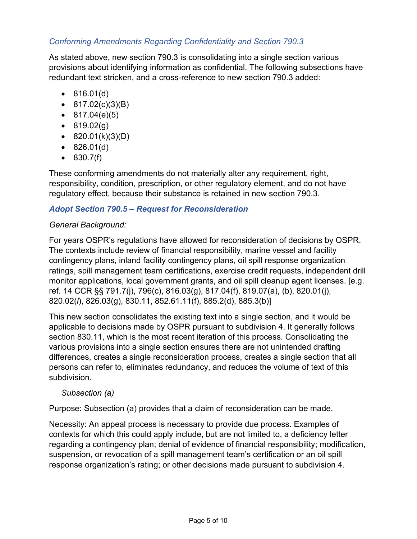# *Conforming Amendments Regarding Confidentiality and Section 790.3*

As stated above, new section 790.3 is consolidating into a single section various provisions about identifying information as confidential. The following subsections have redundant text stricken, and a cross-reference to new section 790.3 added:

- 816.01(d)
- $817.02(c)(3)(B)$
- $817.04(e)(5)$
- $819.02(g)$
- $820.01(k)(3)(D)$
- 826.01(d)
- 830.7(f)

These conforming amendments do not materially alter any requirement, right, responsibility, condition, prescription, or other regulatory element, and do not have regulatory effect, because their substance is retained in new section 790.3.

## *Adopt Section 790.5 – Request for Reconsideration*

## *General Background:*

For years OSPR's regulations have allowed for reconsideration of decisions by OSPR. The contexts include review of financial responsibility, marine vessel and facility contingency plans, inland facility contingency plans, oil spill response organization ratings, spill management team certifications, exercise credit requests, independent drill monitor applications, local government grants, and oil spill cleanup agent licenses. [e.g. ref. 14 CCR §§ 791.7(j), 796(c), 816.03(g), 817.04(f), 819.07(a), (b), 820.01(j), 820.02(*l*), 826.03(g), 830.11, 852.61.11(f), 885.2(d), 885.3(b)]

This new section consolidates the existing text into a single section, and it would be applicable to decisions made by OSPR pursuant to subdivision 4. It generally follows section 830.11, which is the most recent iteration of this process. Consolidating the various provisions into a single section ensures there are not unintended drafting differences, creates a single reconsideration process, creates a single section that all persons can refer to, eliminates redundancy, and reduces the volume of text of this subdivision.

#### *Subsection (a)*

Purpose: Subsection (a) provides that a claim of reconsideration can be made.

Necessity: An appeal process is necessary to provide due process. Examples of contexts for which this could apply include, but are not limited to, a deficiency letter regarding a contingency plan; denial of evidence of financial responsibility; modification, suspension, or revocation of a spill management team's certification or an oil spill response organization's rating; or other decisions made pursuant to subdivision 4.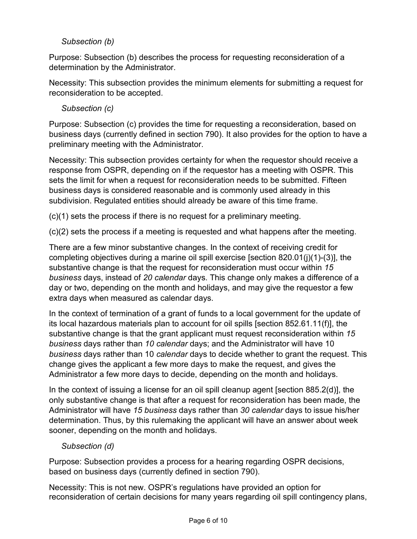# *Subsection (b)*

Purpose: Subsection (b) describes the process for requesting reconsideration of a determination by the Administrator.

Necessity: This subsection provides the minimum elements for submitting a request for reconsideration to be accepted.

## *Subsection (c)*

Purpose: Subsection (c) provides the time for requesting a reconsideration, based on business days (currently defined in section 790). It also provides for the option to have a preliminary meeting with the Administrator.

Necessity: This subsection provides certainty for when the requestor should receive a response from OSPR, depending on if the requestor has a meeting with OSPR. This sets the limit for when a request for reconsideration needs to be submitted. Fifteen business days is considered reasonable and is commonly used already in this subdivision. Regulated entities should already be aware of this time frame.

(c)(1) sets the process if there is no request for a preliminary meeting.

(c)(2) sets the process if a meeting is requested and what happens after the meeting.

There are a few minor substantive changes. In the context of receiving credit for completing objectives during a marine oil spill exercise [section 820.01(j)(1)-(3)], the substantive change is that the request for reconsideration must occur within *15 business* days, instead of *20 calendar* days. This change only makes a difference of a day or two, depending on the month and holidays, and may give the requestor a few extra days when measured as calendar days.

In the context of termination of a grant of funds to a local government for the update of its local hazardous materials plan to account for oil spills [section 852.61.11(f)], the substantive change is that the grant applicant must request reconsideration within *15 business* days rather than *10 calendar* days; and the Administrator will have 10 *business* days rather than 10 *calendar* days to decide whether to grant the request. This change gives the applicant a few more days to make the request, and gives the Administrator a few more days to decide, depending on the month and holidays.

In the context of issuing a license for an oil spill cleanup agent [section  $885.2(d)$ ], the only substantive change is that after a request for reconsideration has been made, the Administrator will have *15 business* days rather than *30 calendar* days to issue his/her determination. Thus, by this rulemaking the applicant will have an answer about week sooner, depending on the month and holidays.

## *Subsection (d)*

Purpose: Subsection provides a process for a hearing regarding OSPR decisions, based on business days (currently defined in section 790).

Necessity: This is not new. OSPR's regulations have provided an option for reconsideration of certain decisions for many years regarding oil spill contingency plans,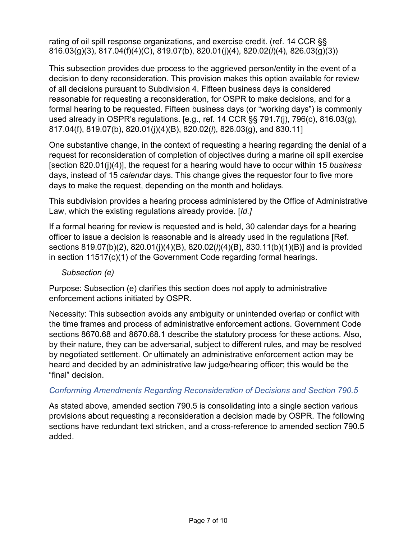rating of oil spill response organizations, and exercise credit. (ref. 14 CCR §§ 816.03(g)(3), 817.04(f)(4)(C), 819.07(b), 820.01(j)(4), 820.02(*l*)(4), 826.03(g)(3))

This subsection provides due process to the aggrieved person/entity in the event of a decision to deny reconsideration. This provision makes this option available for review of all decisions pursuant to Subdivision 4. Fifteen business days is considered reasonable for requesting a reconsideration, for OSPR to make decisions, and for a formal hearing to be requested. Fifteen business days (or "working days") is commonly used already in OSPR's regulations. [e.g., ref. 14 CCR §§ 791.7(j), 796(c), 816.03(g), 817.04(f), 819.07(b), 820.01(j)(4)(B), 820.02(*l*), 826.03(g), and 830.11]

One substantive change, in the context of requesting a hearing regarding the denial of a request for reconsideration of completion of objectives during a marine oil spill exercise [section 820.01(j)(4)], the request for a hearing would have to occur within 15 *business* days, instead of 15 *calendar* days. This change gives the requestor four to five more days to make the request, depending on the month and holidays.

This subdivision provides a hearing process administered by the Office of Administrative Law, which the existing regulations already provide. [*Id.]*

If a formal hearing for review is requested and is held, 30 calendar days for a hearing officer to issue a decision is reasonable and is already used in the regulations [Ref. sections 819.07(b)(2), 820.01(j)(4)(B), 820.02(*l*)(4)(B), 830.11(b)(1)(B)] and is provided in section 11517(c)(1) of the Government Code regarding formal hearings.

*Subsection (e)*

Purpose: Subsection (e) clarifies this section does not apply to administrative enforcement actions initiated by OSPR.

Necessity: This subsection avoids any ambiguity or unintended overlap or conflict with the time frames and process of administrative enforcement actions. Government Code sections 8670.68 and 8670.68.1 describe the statutory process for these actions. Also, by their nature, they can be adversarial, subject to different rules, and may be resolved by negotiated settlement. Or ultimately an administrative enforcement action may be heard and decided by an administrative law judge/hearing officer; this would be the "final" decision.

## *Conforming Amendments Regarding Reconsideration of Decisions and Section 790.5*

As stated above, amended section 790.5 is consolidating into a single section various provisions about requesting a reconsideration a decision made by OSPR. The following sections have redundant text stricken, and a cross-reference to amended section 790.5 added.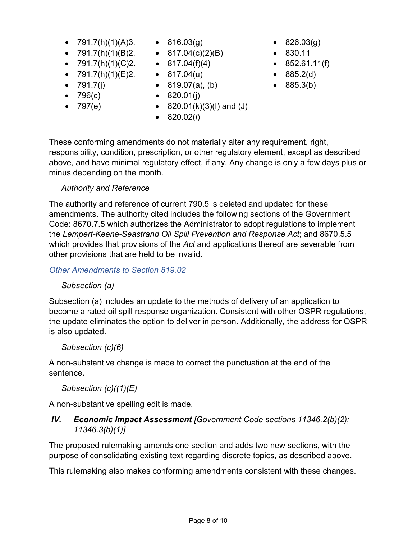- 791.7(h)(1)(A)3. 816.03(g)
- 791.7(h)(1)(B)2. 817.04(c)(2)(B)
- $791.7(h)(1)(C)2$ .
- 791.7(h)(1)(E)2. 817.04(u)
- $791.7(j)$
- 796(c)
- 797(e)
- 
- 
- $\bullet$  817.04(f)(4)
	-
- 819.07(a), (b)
- $820.01(j)$ 
	- $820.01(k)(3)(l)$  and  $(J)$
	- 820.02(*l*)
- 826.03(g)
- 830.11
	- $\bullet$  852.61.11(f)
- 885.2(d)
- 885.3(b)

These conforming amendments do not materially alter any requirement, right, responsibility, condition, prescription, or other regulatory element, except as described above, and have minimal regulatory effect, if any. Any change is only a few days plus or minus depending on the month.

## *Authority and Reference*

The authority and reference of current 790.5 is deleted and updated for these amendments. The authority cited includes the following sections of the Government Code: 8670.7.5 which authorizes the Administrator to adopt regulations to implement the *Lempert-Keene-Seastrand Oil Spill Prevention and Response Act*; and 8670.5.5 which provides that provisions of the *Act* and applications thereof are severable from other provisions that are held to be invalid.

*Other Amendments to Section 819.02*

## *Subsection (a)*

Subsection (a) includes an update to the methods of delivery of an application to become a rated oil spill response organization. Consistent with other OSPR regulations, the update eliminates the option to deliver in person. Additionally, the address for OSPR is also updated.

## *Subsection (c)(6)*

A non-substantive change is made to correct the punctuation at the end of the sentence.

# *Subsection (c)((1)(E)*

A non-substantive spelling edit is made.

# *IV. Economic Impact Assessment [Government Code sections 11346.2(b)(2); 11346.3(b)(1)]*

The proposed rulemaking amends one section and adds two new sections, with the purpose of consolidating existing text regarding discrete topics, as described above.

This rulemaking also makes conforming amendments consistent with these changes.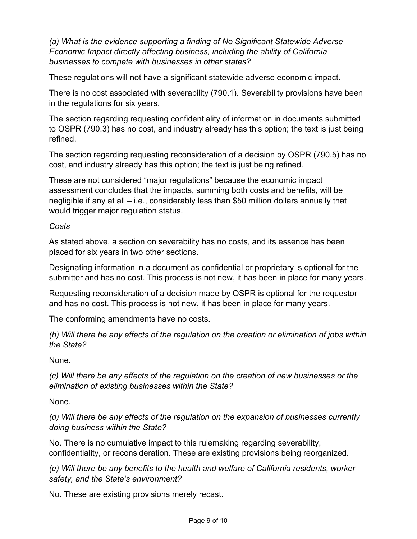*(a) What is the evidence supporting a finding of No Significant Statewide Adverse Economic Impact directly affecting business, including the ability of California businesses to compete with businesses in other states?*

These regulations will not have a significant statewide adverse economic impact.

There is no cost associated with severability (790.1). Severability provisions have been in the regulations for six years.

The section regarding requesting confidentiality of information in documents submitted to OSPR (790.3) has no cost, and industry already has this option; the text is just being refined.

The section regarding requesting reconsideration of a decision by OSPR (790.5) has no cost, and industry already has this option; the text is just being refined.

These are not considered "major regulations" because the economic impact assessment concludes that the impacts, summing both costs and benefits, will be negligible if any at all – i.e., considerably less than \$50 million dollars annually that would trigger major regulation status.

*Costs*

As stated above, a section on severability has no costs, and its essence has been placed for six years in two other sections.

Designating information in a document as confidential or proprietary is optional for the submitter and has no cost. This process is not new, it has been in place for many years.

Requesting reconsideration of a decision made by OSPR is optional for the requestor and has no cost. This process is not new, it has been in place for many years.

The conforming amendments have no costs.

*(b) Will there be any effects of the regulation on the creation or elimination of jobs within the State?*

None.

*(c) Will there be any effects of the regulation on the creation of new businesses or the elimination of existing businesses within the State?*

None.

*(d) Will there be any effects of the regulation on the expansion of businesses currently doing business within the State?*

No. There is no cumulative impact to this rulemaking regarding severability, confidentiality, or reconsideration. These are existing provisions being reorganized.

*(e) Will there be any benefits to the health and welfare of California residents, worker safety, and the State's environment?*

No. These are existing provisions merely recast.